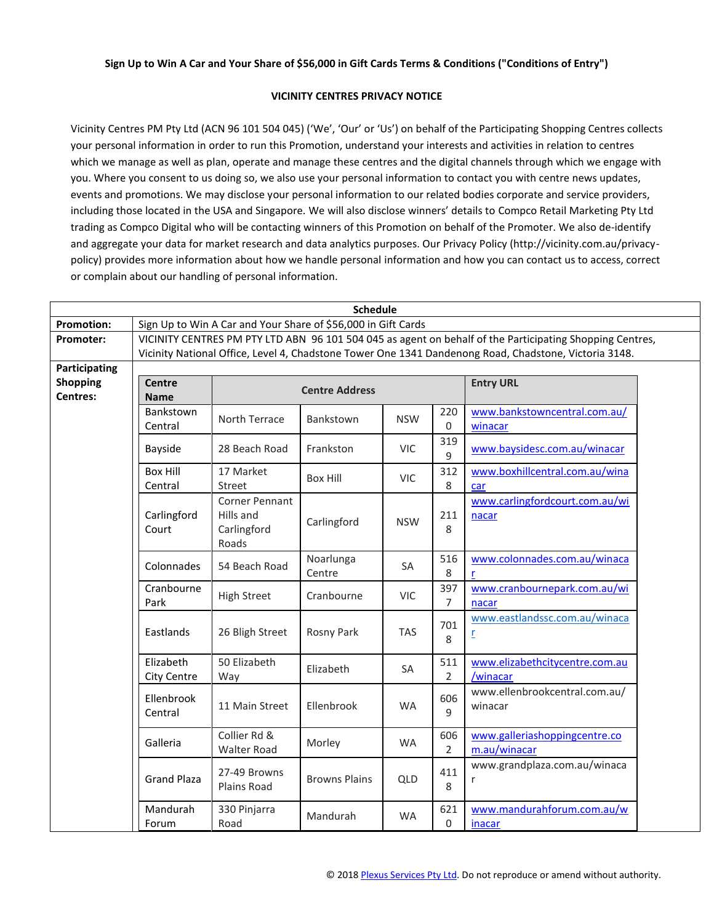## **Sign Up to Win A Car and Your Share of \$56,000 in Gift Cards Terms & Conditions ("Conditions of Entry")**

## **VICINITY CENTRES PRIVACY NOTICE**

Vicinity Centres PM Pty Ltd (ACN 96 101 504 045) ('We', 'Our' or 'Us') on behalf of the Participating Shopping Centres collects your personal information in order to run this Promotion, understand your interests and activities in relation to centres which we manage as well as plan, operate and manage these centres and the digital channels through which we engage with you. Where you consent to us doing so, we also use your personal information to contact you with centre news updates, events and promotions. We may disclose your personal information to our related bodies corporate and service providers, including those located in the USA and Singapore. We will also disclose winners' details to Compco Retail Marketing Pty Ltd trading as Compco Digital who will be contacting winners of this Promotion on behalf of the Promoter. We also de-identify and aggregate your data for market research and data analytics purposes. Our Privacy Policy (http://vicinity.com.au/privacypolicy) provides more information about how we handle personal information and how you can contact us to access, correct or complain about our handling of personal information.

| <b>Schedule</b>   |                                                                                                          |                             |                      |            |                       |                                |  |  |  |
|-------------------|----------------------------------------------------------------------------------------------------------|-----------------------------|----------------------|------------|-----------------------|--------------------------------|--|--|--|
| <b>Promotion:</b> | Sign Up to Win A Car and Your Share of \$56,000 in Gift Cards                                            |                             |                      |            |                       |                                |  |  |  |
| <b>Promoter:</b>  | VICINITY CENTRES PM PTY LTD ABN 96 101 504 045 as agent on behalf of the Participating Shopping Centres, |                             |                      |            |                       |                                |  |  |  |
|                   | Vicinity National Office, Level 4, Chadstone Tower One 1341 Dandenong Road, Chadstone, Victoria 3148.    |                             |                      |            |                       |                                |  |  |  |
| Participating     |                                                                                                          |                             |                      |            |                       |                                |  |  |  |
| <b>Shopping</b>   | <b>Centre</b>                                                                                            | <b>Centre Address</b>       |                      |            |                       | <b>Entry URL</b>               |  |  |  |
| Centres:          | <b>Name</b>                                                                                              |                             |                      |            |                       |                                |  |  |  |
|                   | Bankstown<br>Central                                                                                     | North Terrace               | Bankstown            | <b>NSW</b> | 220                   | www.bankstowncentral.com.au/   |  |  |  |
|                   |                                                                                                          |                             |                      |            | $\mathbf 0$           | winacar                        |  |  |  |
|                   | Bayside                                                                                                  | 28 Beach Road               | Frankston            | <b>VIC</b> | 319<br>9              | www.baysidesc.com.au/winacar   |  |  |  |
|                   | <b>Box Hill</b>                                                                                          | 17 Market                   | <b>Box Hill</b>      | <b>VIC</b> | 312                   | www.boxhillcentral.com.au/wina |  |  |  |
|                   | Central                                                                                                  | Street                      |                      |            | 8                     | car                            |  |  |  |
|                   |                                                                                                          | Corner Pennant              | Carlingford          |            |                       | www.carlingfordcourt.com.au/wi |  |  |  |
|                   | Carlingford                                                                                              | Hills and                   |                      | <b>NSW</b> | 211                   | nacar                          |  |  |  |
|                   | Court                                                                                                    | Carlingford<br>Roads        |                      |            | 8                     |                                |  |  |  |
|                   |                                                                                                          |                             |                      |            |                       |                                |  |  |  |
|                   | Colonnades                                                                                               | 54 Beach Road               | Noarlunga<br>Centre  | SA         | 516                   | www.colonnades.com.au/winaca   |  |  |  |
|                   |                                                                                                          |                             |                      |            | 8                     |                                |  |  |  |
|                   | Cranbourne<br>Park                                                                                       | <b>High Street</b>          | Cranbourne           | <b>VIC</b> | 397                   | www.cranbournepark.com.au/wi   |  |  |  |
|                   |                                                                                                          |                             |                      |            | 7                     | nacar                          |  |  |  |
|                   | Eastlands                                                                                                | 26 Bligh Street             | Rosny Park           | <b>TAS</b> | 701<br>8              | www.eastlandssc.com.au/winaca  |  |  |  |
|                   |                                                                                                          |                             |                      |            |                       | <u>r</u>                       |  |  |  |
|                   |                                                                                                          |                             |                      |            |                       |                                |  |  |  |
|                   | Elizabeth                                                                                                | 50 Elizabeth<br>Way         | Elizabeth            | <b>SA</b>  | 511<br>$\overline{2}$ | www.elizabethcitycentre.com.au |  |  |  |
|                   | City Centre                                                                                              |                             |                      |            |                       | /winacar                       |  |  |  |
|                   | Ellenbrook                                                                                               | 11 Main Street              | Ellenbrook           | <b>WA</b>  | 606                   | www.ellenbrookcentral.com.au/  |  |  |  |
|                   | Central                                                                                                  |                             |                      |            | 9                     | winacar                        |  |  |  |
|                   |                                                                                                          | Collier Rd &                |                      |            | 606                   | www.galleriashoppingcentre.co  |  |  |  |
|                   | Galleria                                                                                                 | <b>Walter Road</b>          | Morley               | <b>WA</b>  | $\overline{2}$        | m.au/winacar                   |  |  |  |
|                   | <b>Grand Plaza</b>                                                                                       | 27-49 Browns<br>Plains Road | <b>Browns Plains</b> | QLD        | 411<br>8              | www.grandplaza.com.au/winaca   |  |  |  |
|                   |                                                                                                          |                             |                      |            |                       | r                              |  |  |  |
|                   |                                                                                                          |                             |                      |            |                       |                                |  |  |  |
|                   | Mandurah                                                                                                 | 330 Pinjarra                |                      |            | 621                   | www.mandurahforum.com.au/w     |  |  |  |
|                   | Forum                                                                                                    | Road                        | Mandurah             | <b>WA</b>  | 0                     | inacar                         |  |  |  |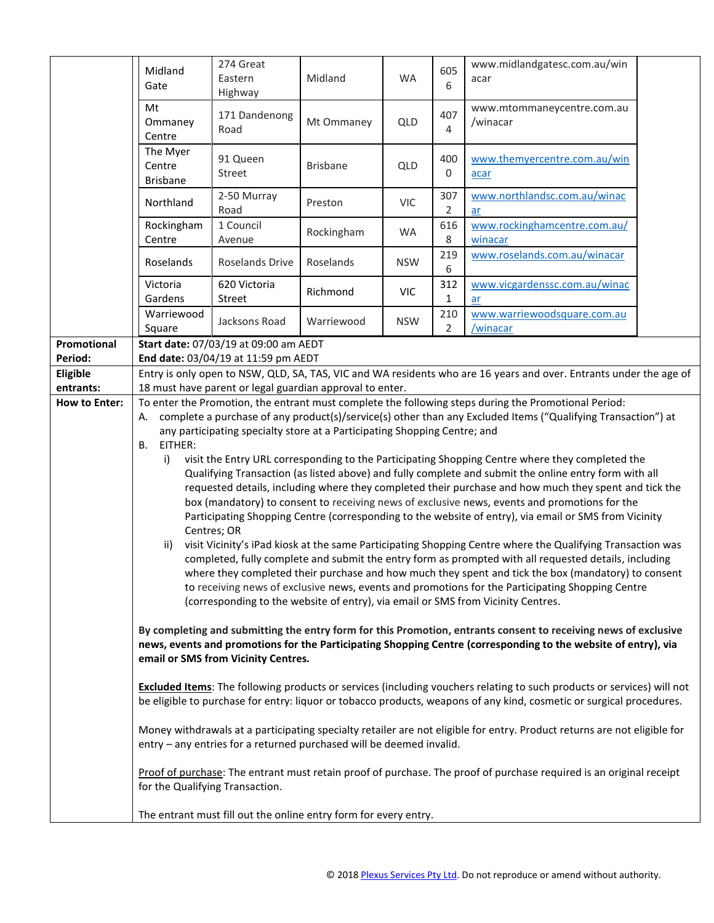|                        | Midland<br>Gate                                                                                                                                                                                                                                                          | 274 Great<br>Eastern<br>Highway                                           | Midland         | <b>WA</b>  | 605<br>6 | www.midlandgatesc.com.au/win<br>acar                                                                                                                                                                                |  |  |  |
|------------------------|--------------------------------------------------------------------------------------------------------------------------------------------------------------------------------------------------------------------------------------------------------------------------|---------------------------------------------------------------------------|-----------------|------------|----------|---------------------------------------------------------------------------------------------------------------------------------------------------------------------------------------------------------------------|--|--|--|
|                        | Mt<br>Ommaney<br>Centre                                                                                                                                                                                                                                                  | 171 Dandenong<br>Road                                                     | Mt Ommaney      | QLD        | 407<br>4 | www.mtommaneycentre.com.au<br>/winacar                                                                                                                                                                              |  |  |  |
|                        | The Myer<br>Centre<br><b>Brisbane</b>                                                                                                                                                                                                                                    | 91 Queen<br>Street                                                        | <b>Brisbane</b> | QLD        | 400<br>0 | www.themyercentre.com.au/win<br>acar                                                                                                                                                                                |  |  |  |
|                        | Northland                                                                                                                                                                                                                                                                | 2-50 Murray<br>Road                                                       | Preston         | <b>VIC</b> | 307<br>2 | www.northlandsc.com.au/winac<br>ar                                                                                                                                                                                  |  |  |  |
|                        | Rockingham<br>Centre                                                                                                                                                                                                                                                     | 1 Council<br>Avenue                                                       | Rockingham      | WA         | 616<br>8 | www.rockinghamcentre.com.au/<br>winacar                                                                                                                                                                             |  |  |  |
|                        | Roselands                                                                                                                                                                                                                                                                | Roselands Drive                                                           | Roselands       | <b>NSW</b> | 219<br>6 | www.roselands.com.au/winacar                                                                                                                                                                                        |  |  |  |
|                        | Victoria<br>Gardens                                                                                                                                                                                                                                                      | 620 Victoria<br>Street                                                    | Richmond        | <b>VIC</b> | 312<br>1 | www.vicgardenssc.com.au/winac<br>ar                                                                                                                                                                                 |  |  |  |
|                        | Warriewood<br>Square                                                                                                                                                                                                                                                     | Jacksons Road                                                             | Warriewood      | <b>NSW</b> | 210<br>2 | www.warriewoodsquare.com.au<br>/winacar                                                                                                                                                                             |  |  |  |
| Promotional<br>Period: | Start date: 07/03/19 at 09:00 am AEDT<br>End date: 03/04/19 at 11:59 pm AEDT                                                                                                                                                                                             |                                                                           |                 |            |          |                                                                                                                                                                                                                     |  |  |  |
| Eligible               |                                                                                                                                                                                                                                                                          |                                                                           |                 |            |          | Entry is only open to NSW, QLD, SA, TAS, VIC and WA residents who are 16 years and over. Entrants under the age of                                                                                                  |  |  |  |
| entrants:              |                                                                                                                                                                                                                                                                          | 18 must have parent or legal guardian approval to enter.                  |                 |            |          |                                                                                                                                                                                                                     |  |  |  |
| <b>How to Enter:</b>   | To enter the Promotion, the entrant must complete the following steps during the Promotional Period:<br>A. complete a purchase of any product(s)/service(s) other than any Excluded Items ("Qualifying Transaction") at                                                  |                                                                           |                 |            |          |                                                                                                                                                                                                                     |  |  |  |
|                        |                                                                                                                                                                                                                                                                          | any participating specialty store at a Participating Shopping Centre; and |                 |            |          |                                                                                                                                                                                                                     |  |  |  |
|                        | EITHER:<br>В.<br>visit the Entry URL corresponding to the Participating Shopping Centre where they completed the<br>i)                                                                                                                                                   |                                                                           |                 |            |          |                                                                                                                                                                                                                     |  |  |  |
|                        | Qualifying Transaction (as listed above) and fully complete and submit the online entry form with all                                                                                                                                                                    |                                                                           |                 |            |          |                                                                                                                                                                                                                     |  |  |  |
|                        | requested details, including where they completed their purchase and how much they spent and tick the<br>box (mandatory) to consent to receiving news of exclusive news, events and promotions for the                                                                   |                                                                           |                 |            |          |                                                                                                                                                                                                                     |  |  |  |
|                        |                                                                                                                                                                                                                                                                          |                                                                           |                 |            |          | Participating Shopping Centre (corresponding to the website of entry), via email or SMS from Vicinity                                                                                                               |  |  |  |
|                        |                                                                                                                                                                                                                                                                          | Centres; OR                                                               |                 |            |          |                                                                                                                                                                                                                     |  |  |  |
|                        | ii)                                                                                                                                                                                                                                                                      |                                                                           |                 |            |          | visit Vicinity's iPad kiosk at the same Participating Shopping Centre where the Qualifying Transaction was<br>completed, fully complete and submit the entry form as prompted with all requested details, including |  |  |  |
|                        |                                                                                                                                                                                                                                                                          |                                                                           |                 |            |          | where they completed their purchase and how much they spent and tick the box (mandatory) to consent                                                                                                                 |  |  |  |
|                        |                                                                                                                                                                                                                                                                          |                                                                           |                 |            |          | to receiving news of exclusive news, events and promotions for the Participating Shopping Centre                                                                                                                    |  |  |  |
|                        |                                                                                                                                                                                                                                                                          |                                                                           |                 |            |          | (corresponding to the website of entry), via email or SMS from Vicinity Centres.                                                                                                                                    |  |  |  |
|                        | By completing and submitting the entry form for this Promotion, entrants consent to receiving news of exclusive<br>news, events and promotions for the Participating Shopping Centre (corresponding to the website of entry), via<br>email or SMS from Vicinity Centres. |                                                                           |                 |            |          |                                                                                                                                                                                                                     |  |  |  |
|                        | <b>Excluded Items:</b> The following products or services (including vouchers relating to such products or services) will not<br>be eligible to purchase for entry: liquor or tobacco products, weapons of any kind, cosmetic or surgical procedures.                    |                                                                           |                 |            |          |                                                                                                                                                                                                                     |  |  |  |
|                        | Money withdrawals at a participating specialty retailer are not eligible for entry. Product returns are not eligible for<br>entry - any entries for a returned purchased will be deemed invalid.                                                                         |                                                                           |                 |            |          |                                                                                                                                                                                                                     |  |  |  |
|                        | Proof of purchase: The entrant must retain proof of purchase. The proof of purchase required is an original receipt<br>for the Qualifying Transaction.                                                                                                                   |                                                                           |                 |            |          |                                                                                                                                                                                                                     |  |  |  |
|                        | The entrant must fill out the online entry form for every entry.                                                                                                                                                                                                         |                                                                           |                 |            |          |                                                                                                                                                                                                                     |  |  |  |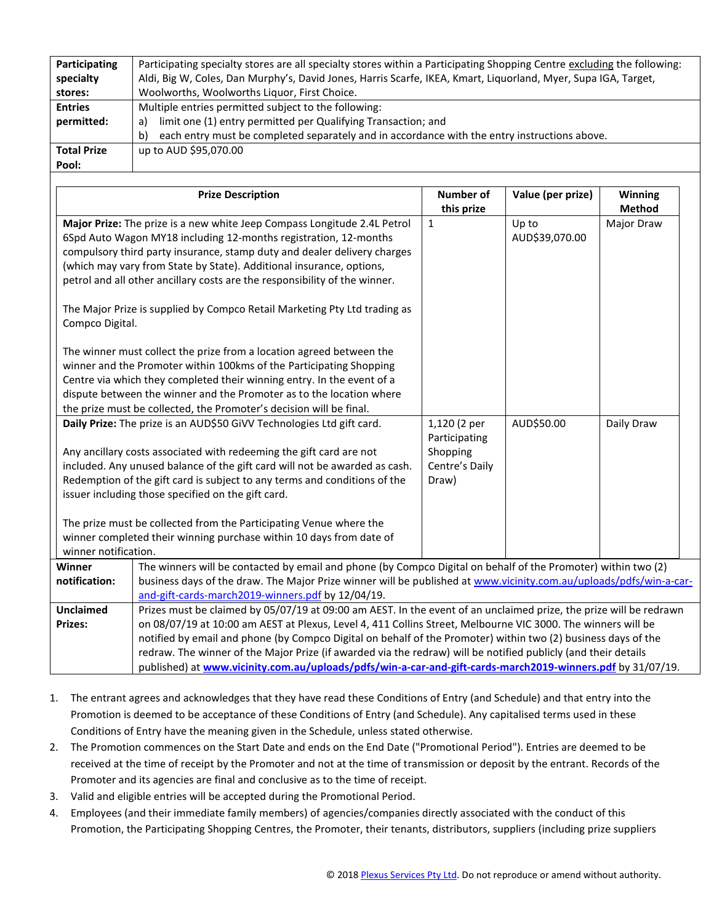| Participating<br>specialty                                                | Participating specialty stores are all specialty stores within a Participating Shopping Centre excluding the following:<br>Aldi, Big W, Coles, Dan Murphy's, David Jones, Harris Scarfe, IKEA, Kmart, Liquorland, Myer, Supa IGA, Target, |                                |                   |                          |  |  |  |  |  |
|---------------------------------------------------------------------------|-------------------------------------------------------------------------------------------------------------------------------------------------------------------------------------------------------------------------------------------|--------------------------------|-------------------|--------------------------|--|--|--|--|--|
| stores:                                                                   | Woolworths, Woolworths Liquor, First Choice.                                                                                                                                                                                              |                                |                   |                          |  |  |  |  |  |
| <b>Entries</b>                                                            | Multiple entries permitted subject to the following:                                                                                                                                                                                      |                                |                   |                          |  |  |  |  |  |
| permitted:                                                                | limit one (1) entry permitted per Qualifying Transaction; and<br>a)                                                                                                                                                                       |                                |                   |                          |  |  |  |  |  |
|                                                                           | each entry must be completed separately and in accordance with the entry instructions above.<br>b)                                                                                                                                        |                                |                   |                          |  |  |  |  |  |
| <b>Total Prize</b>                                                        | up to AUD \$95,070.00                                                                                                                                                                                                                     |                                |                   |                          |  |  |  |  |  |
| Pool:                                                                     |                                                                                                                                                                                                                                           |                                |                   |                          |  |  |  |  |  |
|                                                                           |                                                                                                                                                                                                                                           |                                |                   |                          |  |  |  |  |  |
|                                                                           | <b>Prize Description</b>                                                                                                                                                                                                                  | <b>Number of</b><br>this prize | Value (per prize) | Winning<br><b>Method</b> |  |  |  |  |  |
|                                                                           | Major Prize: The prize is a new white Jeep Compass Longitude 2.4L Petrol                                                                                                                                                                  | $\mathbf{1}$                   | Up to             | Major Draw               |  |  |  |  |  |
|                                                                           | 6Spd Auto Wagon MY18 including 12-months registration, 12-months                                                                                                                                                                          |                                | AUD\$39,070.00    |                          |  |  |  |  |  |
|                                                                           | compulsory third party insurance, stamp duty and dealer delivery charges                                                                                                                                                                  |                                |                   |                          |  |  |  |  |  |
|                                                                           | (which may vary from State by State). Additional insurance, options,                                                                                                                                                                      |                                |                   |                          |  |  |  |  |  |
|                                                                           | petrol and all other ancillary costs are the responsibility of the winner.                                                                                                                                                                |                                |                   |                          |  |  |  |  |  |
|                                                                           |                                                                                                                                                                                                                                           |                                |                   |                          |  |  |  |  |  |
| The Major Prize is supplied by Compco Retail Marketing Pty Ltd trading as |                                                                                                                                                                                                                                           |                                |                   |                          |  |  |  |  |  |
|                                                                           | Compco Digital.                                                                                                                                                                                                                           |                                |                   |                          |  |  |  |  |  |
|                                                                           |                                                                                                                                                                                                                                           |                                |                   |                          |  |  |  |  |  |
|                                                                           | The winner must collect the prize from a location agreed between the                                                                                                                                                                      |                                |                   |                          |  |  |  |  |  |
| winner and the Promoter within 100kms of the Participating Shopping       |                                                                                                                                                                                                                                           |                                |                   |                          |  |  |  |  |  |
| Centre via which they completed their winning entry. In the event of a    |                                                                                                                                                                                                                                           |                                |                   |                          |  |  |  |  |  |
|                                                                           | dispute between the winner and the Promoter as to the location where                                                                                                                                                                      |                                |                   |                          |  |  |  |  |  |
|                                                                           | the prize must be collected, the Promoter's decision will be final.                                                                                                                                                                       |                                |                   |                          |  |  |  |  |  |
|                                                                           | Daily Prize: The prize is an AUD\$50 GiVV Technologies Ltd gift card.                                                                                                                                                                     | 1,120 (2 per                   | AUD\$50.00        | Daily Draw               |  |  |  |  |  |
|                                                                           |                                                                                                                                                                                                                                           | Participating                  |                   |                          |  |  |  |  |  |
|                                                                           | Any ancillary costs associated with redeeming the gift card are not                                                                                                                                                                       | Shopping                       |                   |                          |  |  |  |  |  |
|                                                                           | included. Any unused balance of the gift card will not be awarded as cash.                                                                                                                                                                | Centre's Daily                 |                   |                          |  |  |  |  |  |
|                                                                           | Redemption of the gift card is subject to any terms and conditions of the                                                                                                                                                                 | Draw)                          |                   |                          |  |  |  |  |  |
|                                                                           | issuer including those specified on the gift card.                                                                                                                                                                                        |                                |                   |                          |  |  |  |  |  |
|                                                                           |                                                                                                                                                                                                                                           |                                |                   |                          |  |  |  |  |  |
|                                                                           | The prize must be collected from the Participating Venue where the                                                                                                                                                                        |                                |                   |                          |  |  |  |  |  |
|                                                                           | winner completed their winning purchase within 10 days from date of                                                                                                                                                                       |                                |                   |                          |  |  |  |  |  |
| winner notification.                                                      |                                                                                                                                                                                                                                           |                                |                   |                          |  |  |  |  |  |
| Winner                                                                    | The winners will be contacted by email and phone (by Compco Digital on behalf of the Promoter) within two (2)                                                                                                                             |                                |                   |                          |  |  |  |  |  |
| notification:                                                             | business days of the draw. The Major Prize winner will be published at www.vicinity.com.au/uploads/pdfs/win-a-car-                                                                                                                        |                                |                   |                          |  |  |  |  |  |
|                                                                           | and-gift-cards-march2019-winners.pdf by 12/04/19.                                                                                                                                                                                         |                                |                   |                          |  |  |  |  |  |
| <b>Unclaimed</b>                                                          | Prizes must be claimed by 05/07/19 at 09:00 am AEST. In the event of an unclaimed prize, the prize will be redrawn                                                                                                                        |                                |                   |                          |  |  |  |  |  |
| Prizes:                                                                   | on 08/07/19 at 10:00 am AEST at Plexus, Level 4, 411 Collins Street, Melbourne VIC 3000. The winners will be                                                                                                                              |                                |                   |                          |  |  |  |  |  |
|                                                                           | notified by email and phone (by Compco Digital on behalf of the Promoter) within two (2) business days of the                                                                                                                             |                                |                   |                          |  |  |  |  |  |
|                                                                           | redraw. The winner of the Major Prize (if awarded via the redraw) will be notified publicly (and their details                                                                                                                            |                                |                   |                          |  |  |  |  |  |
|                                                                           | published) at www.vicinity.com.au/uploads/pdfs/win-a-car-and-gift-cards-march2019-winners.pdf by 31/07/19.                                                                                                                                |                                |                   |                          |  |  |  |  |  |

- 1. The entrant agrees and acknowledges that they have read these Conditions of Entry (and Schedule) and that entry into the Promotion is deemed to be acceptance of these Conditions of Entry (and Schedule). Any capitalised terms used in these Conditions of Entry have the meaning given in the Schedule, unless stated otherwise.
- 2. The Promotion commences on the Start Date and ends on the End Date ("Promotional Period"). Entries are deemed to be received at the time of receipt by the Promoter and not at the time of transmission or deposit by the entrant. Records of the Promoter and its agencies are final and conclusive as to the time of receipt.
- 3. Valid and eligible entries will be accepted during the Promotional Period.
- 4. Employees (and their immediate family members) of agencies/companies directly associated with the conduct of this Promotion, the Participating Shopping Centres, the Promoter, their tenants, distributors, suppliers (including prize suppliers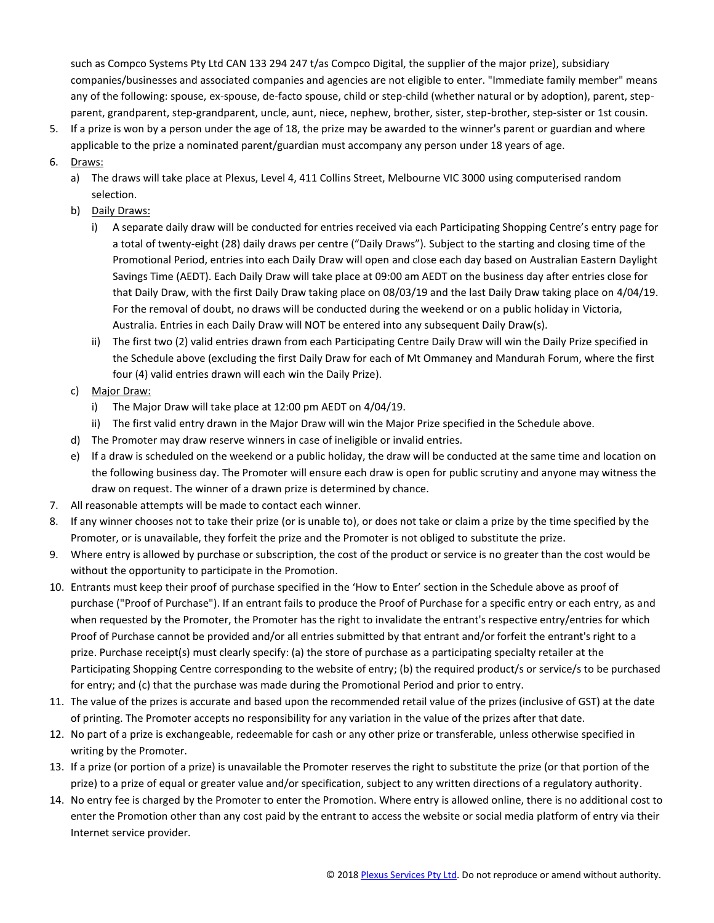such as Compco Systems Pty Ltd CAN 133 294 247 t/as Compco Digital, the supplier of the major prize), subsidiary companies/businesses and associated companies and agencies are not eligible to enter. "Immediate family member" means any of the following: spouse, ex-spouse, de-facto spouse, child or step-child (whether natural or by adoption), parent, stepparent, grandparent, step-grandparent, uncle, aunt, niece, nephew, brother, sister, step-brother, step-sister or 1st cousin.

- 5. If a prize is won by a person under the age of 18, the prize may be awarded to the winner's parent or guardian and where applicable to the prize a nominated parent/guardian must accompany any person under 18 years of age.
- 6. Draws:
	- a) The draws will take place at Plexus, Level 4, 411 Collins Street, Melbourne VIC 3000 using computerised random selection.
	- b) Daily Draws:
		- i) A separate daily draw will be conducted for entries received via each Participating Shopping Centre's entry page for a total of twenty-eight (28) daily draws per centre ("Daily Draws"). Subject to the starting and closing time of the Promotional Period, entries into each Daily Draw will open and close each day based on Australian Eastern Daylight Savings Time (AEDT). Each Daily Draw will take place at 09:00 am AEDT on the business day after entries close for that Daily Draw, with the first Daily Draw taking place on 08/03/19 and the last Daily Draw taking place on 4/04/19. For the removal of doubt, no draws will be conducted during the weekend or on a public holiday in Victoria, Australia. Entries in each Daily Draw will NOT be entered into any subsequent Daily Draw(s).
		- ii) The first two (2) valid entries drawn from each Participating Centre Daily Draw will win the Daily Prize specified in the Schedule above (excluding the first Daily Draw for each of Mt Ommaney and Mandurah Forum, where the first four (4) valid entries drawn will each win the Daily Prize).
	- c) Major Draw:
		- i) The Major Draw will take place at 12:00 pm AEDT on 4/04/19.
		- ii) The first valid entry drawn in the Major Draw will win the Major Prize specified in the Schedule above.
	- d) The Promoter may draw reserve winners in case of ineligible or invalid entries.
	- e) If a draw is scheduled on the weekend or a public holiday, the draw will be conducted at the same time and location on the following business day. The Promoter will ensure each draw is open for public scrutiny and anyone may witness the draw on request. The winner of a drawn prize is determined by chance.
- 7. All reasonable attempts will be made to contact each winner.
- 8. If any winner chooses not to take their prize (or is unable to), or does not take or claim a prize by the time specified by the Promoter, or is unavailable, they forfeit the prize and the Promoter is not obliged to substitute the prize.
- 9. Where entry is allowed by purchase or subscription, the cost of the product or service is no greater than the cost would be without the opportunity to participate in the Promotion.
- 10. Entrants must keep their proof of purchase specified in the 'How to Enter' section in the Schedule above as proof of purchase ("Proof of Purchase"). If an entrant fails to produce the Proof of Purchase for a specific entry or each entry, as and when requested by the Promoter, the Promoter has the right to invalidate the entrant's respective entry/entries for which Proof of Purchase cannot be provided and/or all entries submitted by that entrant and/or forfeit the entrant's right to a prize. Purchase receipt(s) must clearly specify: (a) the store of purchase as a participating specialty retailer at the Participating Shopping Centre corresponding to the website of entry; (b) the required product/s or service/s to be purchased for entry; and (c) that the purchase was made during the Promotional Period and prior to entry.
- 11. The value of the prizes is accurate and based upon the recommended retail value of the prizes (inclusive of GST) at the date of printing. The Promoter accepts no responsibility for any variation in the value of the prizes after that date.
- 12. No part of a prize is exchangeable, redeemable for cash or any other prize or transferable, unless otherwise specified in writing by the Promoter.
- 13. If a prize (or portion of a prize) is unavailable the Promoter reserves the right to substitute the prize (or that portion of the prize) to a prize of equal or greater value and/or specification, subject to any written directions of a regulatory authority.
- 14. No entry fee is charged by the Promoter to enter the Promotion. Where entry is allowed online, there is no additional cost to enter the Promotion other than any cost paid by the entrant to access the website or social media platform of entry via their Internet service provider.